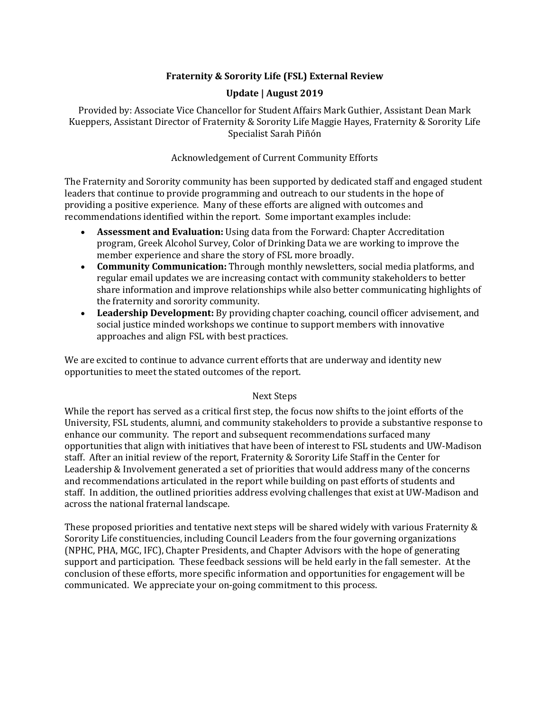# **Fraternity & Sorority Life (FSL) External Review**

# **Update | August 2019**

Provided by: Associate Vice Chancellor for Student Affairs Mark Guthier, Assistant Dean Mark Kueppers, Assistant Director of Fraternity & Sorority Life Maggie Hayes, Fraternity & Sorority Life Specialist Sarah Piñón

# Acknowledgement of Current Community Efforts

The Fraternity and Sorority community has been supported by dedicated staff and engaged student leaders that continue to provide programming and outreach to our students in the hope of providing a positive experience. Many of these efforts are aligned with outcomes and recommendations identified within the report. Some important examples include:

- **Assessment and Evaluation:** Using data from the Forward: Chapter Accreditation program, Greek Alcohol Survey, Color of Drinking Data we are working to improve the member experience and share the story of FSL more broadly.
- **Community Communication:** Through monthly newsletters, social media platforms, and regular email updates we are increasing contact with community stakeholders to better share information and improve relationships while also better communicating highlights of the fraternity and sorority community.
- Leadership Development: By providing chapter coaching, council officer advisement, and social justice minded workshops we continue to support members with innovative approaches and align FSL with best practices.

We are excited to continue to advance current efforts that are underway and identity new opportunities to meet the stated outcomes of the report.

# Next Steps

While the report has served as a critical first step, the focus now shifts to the joint efforts of the University, FSL students, alumni, and community stakeholders to provide a substantive response to enhance our community. The report and subsequent recommendations surfaced many opportunities that align with initiatives that have been of interest to FSL students and UW-Madison staff. After an initial review of the report, Fraternity & Sorority Life Staff in the Center for Leadership & Involvement generated a set of priorities that would address many of the concerns and recommendations articulated in the report while building on past efforts of students and staff. In addition, the outlined priorities address evolving challenges that exist at UW-Madison and across the national fraternal landscape.

These proposed priorities and tentative next steps will be shared widely with various Fraternity & Sorority Life constituencies, including Council Leaders from the four governing organizations (NPHC, PHA, MGC, IFC), Chapter Presidents, and Chapter Advisors with the hope of generating support and participation. These feedback sessions will be held early in the fall semester. At the conclusion of these efforts, more specific information and opportunities for engagement will be communicated. We appreciate your on-going commitment to this process.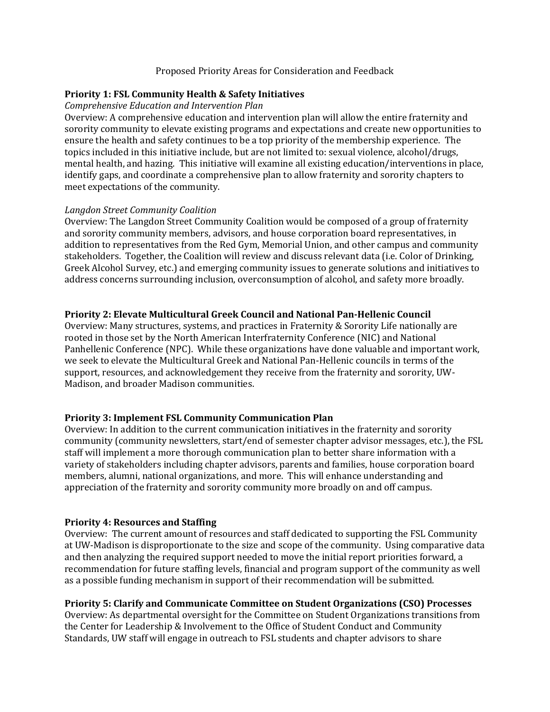#### Proposed Priority Areas for Consideration and Feedback

# **Priority 1: FSL Community Health & Safety Initiatives**

#### *Comprehensive Education and Intervention Plan*

Overview: A comprehensive education and intervention plan will allow the entire fraternity and sorority community to elevate existing programs and expectations and create new opportunities to ensure the health and safety continues to be a top priority of the membership experience. The topics included in this initiative include, but are not limited to: sexual violence, alcohol/drugs, mental health, and hazing. This initiative will examine all existing education/interventions in place, identify gaps, and coordinate a comprehensive plan to allow fraternity and sorority chapters to meet expectations of the community.

#### *Langdon Street Community Coalition*

Overview: The Langdon Street Community Coalition would be composed of a group of fraternity and sorority community members, advisors, and house corporation board representatives, in addition to representatives from the Red Gym, Memorial Union, and other campus and community stakeholders. Together, the Coalition will review and discuss relevant data (i.e. Color of Drinking, Greek Alcohol Survey, etc.) and emerging community issues to generate solutions and initiatives to address concerns surrounding inclusion, overconsumption of alcohol, and safety more broadly.

# **Priority 2: Elevate Multicultural Greek Council and National Pan-Hellenic Council**

Overview: Many structures, systems, and practices in Fraternity & Sorority Life nationally are rooted in those set by the North American Interfraternity Conference (NIC) and National Panhellenic Conference (NPC). While these organizations have done valuable and important work, we seek to elevate the Multicultural Greek and National Pan-Hellenic councils in terms of the support, resources, and acknowledgement they receive from the fraternity and sorority, UW-Madison, and broader Madison communities.

# **Priority 3: Implement FSL Community Communication Plan**

Overview: In addition to the current communication initiatives in the fraternity and sorority community (community newsletters, start/end of semester chapter advisor messages, etc.), the FSL staff will implement a more thorough communication plan to better share information with a variety of stakeholders including chapter advisors, parents and families, house corporation board members, alumni, national organizations, and more. This will enhance understanding and appreciation of the fraternity and sorority community more broadly on and off campus.

# **Priority 4: Resources and Staffing**

Overview: The current amount of resources and staff dedicated to supporting the FSL Community at UW-Madison is disproportionate to the size and scope of the community. Using comparative data and then analyzing the required support needed to move the initial report priorities forward, a recommendation for future staffing levels, financial and program support of the community as well as a possible funding mechanism in support of their recommendation will be submitted.

# Priority 5: Clarify and Communicate Committee on Student Organizations (CSO) Processes

Overview: As departmental oversight for the Committee on Student Organizations transitions from the Center for Leadership & Involvement to the Office of Student Conduct and Community Standards, UW staff will engage in outreach to FSL students and chapter advisors to share